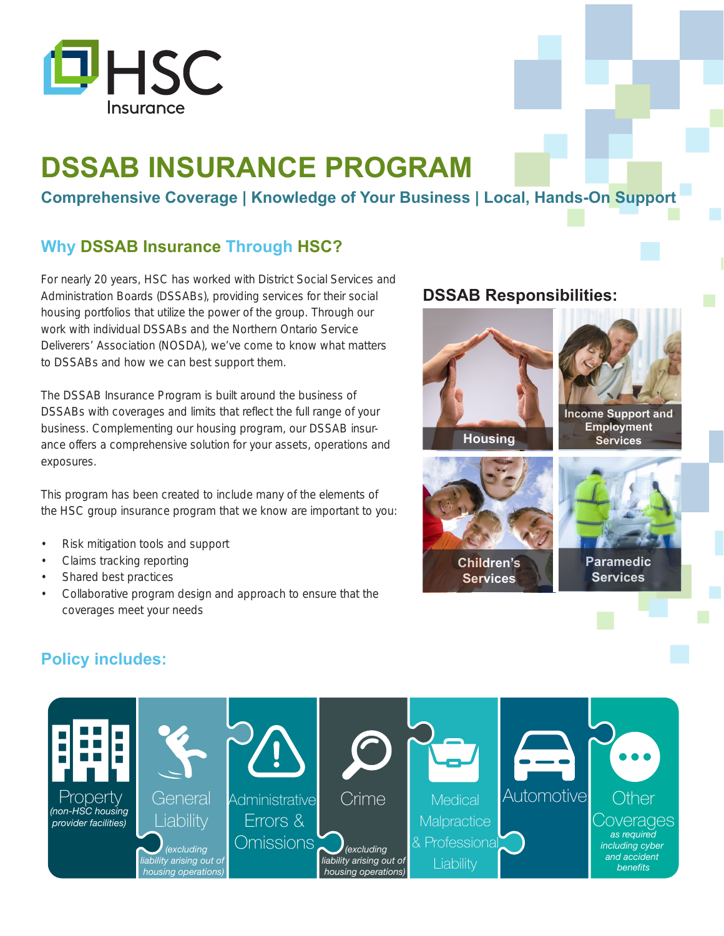

# **DSSAB INSURANCE PROGRAM**

**Comprehensive Coverage | Knowledge of Your Business | Local, Hands-On Support**

## **Why DSSAB Insurance Through HSC?**

For nearly 20 years, HSC has worked with District Social Services and Administration Boards (DSSABs), providing services for their social housing portfolios that utilize the power of the group. Through our work with individual DSSABs and the Northern Ontario Service Deliverers' Association (NOSDA), we've come to know what matters to DSSABs and how we can best support them.

The DSSAB Insurance Program is built around the business of DSSABs with coverages and limits that reflect the full range of your business. Complementing our housing program, our DSSAB insurance offers a comprehensive solution for your assets, operations and exposures.

This program has been created to include many of the elements of the HSC group insurance program that we know are important to you:

- Risk mitigation tools and support
- Claims tracking reporting
- Shared best practices
- Collaborative program design and approach to ensure that the coverages meet your needs

#### **DSSAB Responsibilities:**



### **Policy includes:**